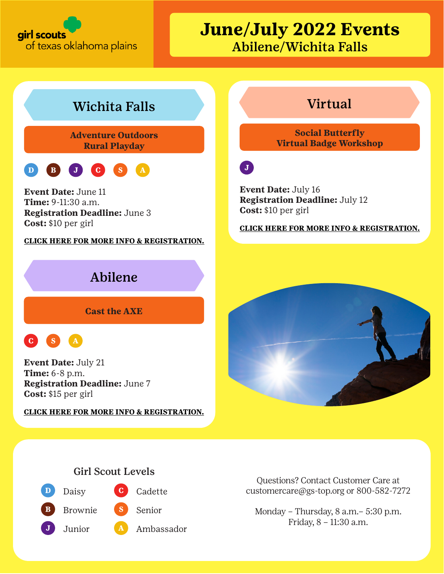

## **June/July 2022 Events** Abilene/Wichita Falls

## Wichita Falls **Virtual**

**Adventure Outdoors Rural Playday**



**Event Date:** June 11 **Time:** 9-11:30 a.m. **Registration Deadline:** June 3 **Cost:** \$10 per girl

**[CLICK HERE FOR MORE INFO & REGISTRATION.](https://mygs.girlscouts.org/event-detail?id=583-GE-061122-lw1)**

## Abilene

**Cast the AXE** 



**Event Date:** July 21 **Time:** 6-8 p.m. **Registration Deadline:** June 7 **Cost:** \$15 per girl

**[CLICK HERE FOR MORE INFO & REGISTRATION.](https://mygs.girlscouts.org/event-detail?id=583-072122-aj1)**

**Social Butterfly Virtual Badge Workshop**

 $\mathbf{J}$ 

**Event Date:** July 16 **Registration Deadline:** July 12 **Cost:** \$10 per girl

**[CLICK HERE FOR MORE INFO & REGISTRATION.](https://mygs.girlscouts.org/event-detail?id=583-GE-052122-AJ2)**



### Girl Scout Levels



Questions? Contact Customer Care at customercare@gs-top.org or 800-582-7272

Monday – Thursday, 8 a.m.– 5:30 p.m. Friday, 8 – 11:30 a.m.